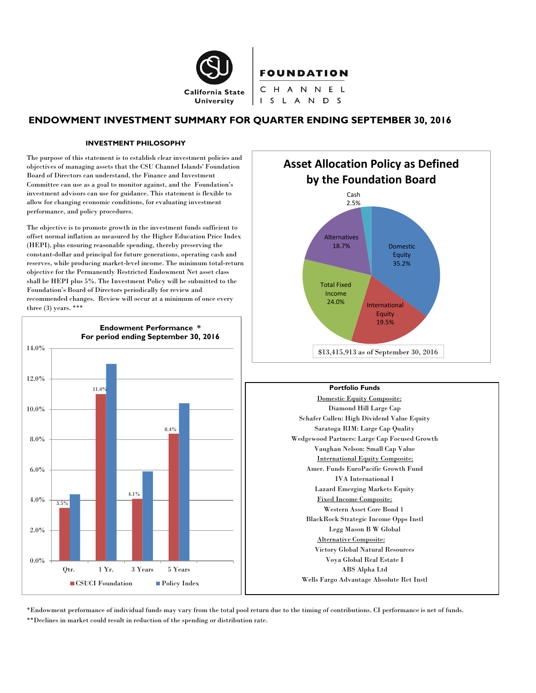

FOUNDATION

CHANNEL I S L A N D S

# **ENDOWMENT INVESTMENT SUMMARY FOR QUARTER ENDING SEPTEMBER 30, 2016**

#### **INVESTMENT PHILOSOPHY**

The purpose of this statement is to establish clear investment policies and objectives of managing assets that the CSU Channel Islands' Foundation Board of Directors can understand, the Finance and Investment Committee can use as a goal to monitor against, and the Foundation's investment advisors can use for guidance. This statement is flexible to allow for changing economic conditions, for evaluating investment performance, and policy procedures.

The objective is to promote growth in the investment funds sufficient to offset normal inflation as measured by the Higher Education Price Index (HEPI), plus ensuring reasonable spending, thereby preserving the constant-dollar and principal for future generations, operating cash and reserves, while producing market-level income. The minimum total-return objective for the Permanently Restricted Endowment Net asset class shall be HEPI plus 5%. The Investment Policy will be submitted to the Foundation's Board of Directors periodically for review and recommended changes. Review will occur at a minimum of once every three (3) years. \*\*\*







\*Endowment performance of individual funds may vary from the total pool return due to the timing of contributions. CI performance is net of funds. \*\*Declines in market could result in reduction of the spending or distribution rate.